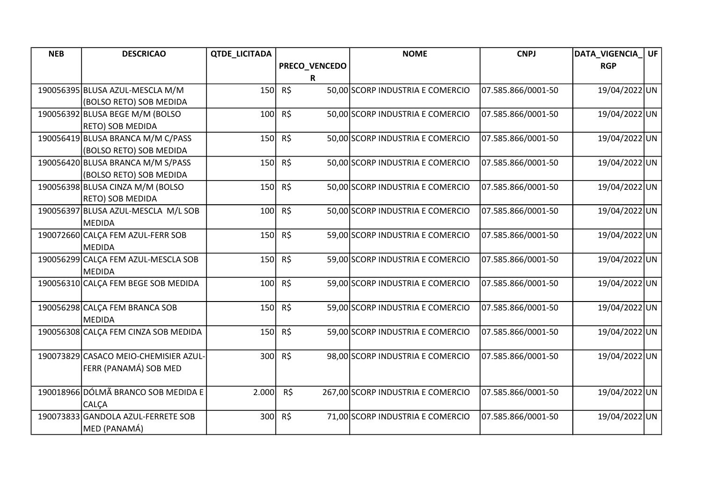| <b>NEB</b> | <b>DESCRICAO</b>                      | <b>QTDE_LICITADA</b> |               | <b>NOME</b>                       | <b>CNPJ</b>        | DATA_VIGENCIA | ∣ UF |
|------------|---------------------------------------|----------------------|---------------|-----------------------------------|--------------------|---------------|------|
|            |                                       |                      | PRECO_VENCEDO |                                   |                    | <b>RGP</b>    |      |
|            |                                       |                      | R             |                                   |                    |               |      |
|            | 190056395 BLUSA AZUL-MESCLA M/M       | 150                  | R\$           | 50,00 SCORP INDUSTRIA E COMERCIO  | 07.585.866/0001-50 | 19/04/2022UN  |      |
|            | (BOLSO RETO) SOB MEDIDA               |                      |               |                                   |                    |               |      |
|            | 190056392 BLUSA BEGE M/M (BOLSO       | 100                  | $R\zeta$      | 50,00 SCORP INDUSTRIA E COMERCIO  | 07.585.866/0001-50 | 19/04/2022UN  |      |
|            | RETO) SOB MEDIDA                      |                      |               |                                   |                    |               |      |
|            | 190056419 BLUSA BRANCA M/M C/PASS     | 150                  | R\$           | 50,00 SCORP INDUSTRIA E COMERCIO  | 07.585.866/0001-50 | 19/04/2022 UN |      |
|            | (BOLSO RETO) SOB MEDIDA               |                      |               |                                   |                    |               |      |
|            | 190056420 BLUSA BRANCA M/M S/PASS     | 150                  | R\$           | 50,00 SCORP INDUSTRIA E COMERCIO  | 07.585.866/0001-50 | 19/04/2022 UN |      |
|            | (BOLSO RETO) SOB MEDIDA               |                      |               |                                   |                    |               |      |
|            | 190056398 BLUSA CINZA M/M (BOLSO      | 150                  | R\$           | 50,00 SCORP INDUSTRIA E COMERCIO  | 07.585.866/0001-50 | 19/04/2022 UN |      |
|            | RETO) SOB MEDIDA                      |                      |               |                                   |                    |               |      |
|            | 190056397 BLUSA AZUL-MESCLA M/L SOB   | 100                  | $R\zeta$      | 50,00 SCORP INDUSTRIA E COMERCIO  | 07.585.866/0001-50 | 19/04/2022UN  |      |
|            | <b>MEDIDA</b>                         |                      |               |                                   |                    |               |      |
|            | 190072660 CALÇA FEM AZUL-FERR SOB     | 150                  | R\$           | 59,00 SCORP INDUSTRIA E COMERCIO  | 07.585.866/0001-50 | 19/04/2022UN  |      |
|            | <b>MEDIDA</b>                         |                      |               |                                   |                    |               |      |
|            | 190056299 CALCA FEM AZUL-MESCLA SOB   | 150                  | $R\zeta$      | 59,00 SCORP INDUSTRIA E COMERCIO  | 07.585.866/0001-50 | 19/04/2022UN  |      |
|            | <b>MEDIDA</b>                         |                      |               |                                   |                    |               |      |
|            | 190056310 CALCA FEM BEGE SOB MEDIDA   | 100                  | R\$           | 59,00 SCORP INDUSTRIA E COMERCIO  | 07.585.866/0001-50 | 19/04/2022UN  |      |
|            |                                       |                      |               |                                   |                    |               |      |
|            | 190056298 CALCA FEM BRANCA SOB        | 150                  | R\$           | 59,00 SCORP INDUSTRIA E COMERCIO  | 07.585.866/0001-50 | 19/04/2022 UN |      |
|            | <b>MEDIDA</b>                         |                      |               |                                   |                    |               |      |
|            | 190056308 CALÇA FEM CINZA SOB MEDIDA  | 150                  | R\$           | 59,00 SCORP INDUSTRIA E COMERCIO  | 07.585.866/0001-50 | 19/04/2022 UN |      |
|            |                                       |                      |               |                                   |                    |               |      |
|            | 190073829 CASACO MEIO-CHEMISIER AZUL- | 300                  | R\$           | 98,00 SCORP INDUSTRIA E COMERCIO  | 07.585.866/0001-50 | 19/04/2022 UN |      |
|            | FERR (PANAMÁ) SOB MED                 |                      |               |                                   |                    |               |      |
|            |                                       |                      |               |                                   |                    |               |      |
|            | 190018966 DÓLMÃ BRANCO SOB MEDIDA E   | 2.000                | $R\zeta$      | 267,00 SCORP INDUSTRIA E COMERCIO | 07.585.866/0001-50 | 19/04/2022 UN |      |
|            | CALÇA                                 |                      |               |                                   |                    |               |      |
|            | 190073833 GANDOLA AZUL-FERRETE SOB    | 300                  | R\$           | 71,00 SCORP INDUSTRIA E COMERCIO  | 07.585.866/0001-50 | 19/04/2022UN  |      |
|            | MED (PANAMÁ)                          |                      |               |                                   |                    |               |      |